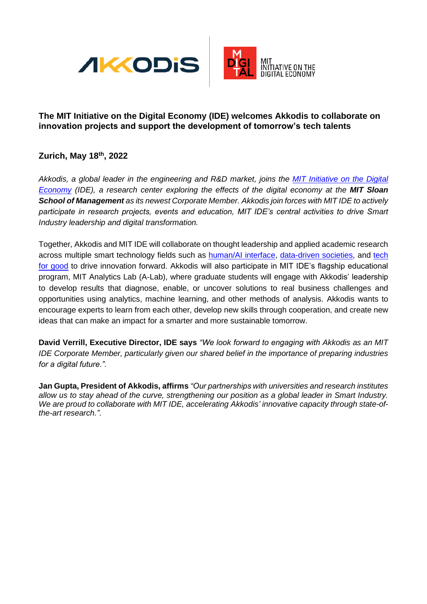



## **The MIT Initiative on the Digital Economy (IDE) welcomes Akkodis to collaborate on innovation projects and support the development of tomorrow's tech talents**

# **Zurich, May 18th, 2022**

*Akkodis, a global leader in the engineering and R&D market, joins the [MIT Initiative on the Digital](http://ide.mit.edu/)  [Economy](http://ide.mit.edu/) (IDE), a research center exploring the effects of the digital economy at the MIT Sloan School of Management as its newest Corporate Member. Akkodis join forces with MIT IDE to actively participate in research projects, events and education, MIT IDE's central activities to drive Smart Industry leadership and digital transformation.*

Together, Akkodis and MIT IDE will collaborate on thought leadership and applied academic research across multiple smart technology fields such as [human/AI interface,](https://ide.mit.edu/research-group/human-ai-interface/) [data-driven societies,](https://ide.mit.edu/research-group/data-driven-societies/) and [tech](https://ide.mit.edu/research-group/tech-for-good/)  [for good](https://ide.mit.edu/research-group/tech-for-good/) to drive innovation forward. Akkodis will also participate in MIT IDE's flagship educational program, MIT Analytics Lab (A-Lab), where graduate students will engage with Akkodis' leadership to develop results that diagnose, enable, or uncover solutions to real business challenges and opportunities using analytics, machine learning, and other methods of analysis. Akkodis wants to encourage experts to learn from each other, develop new skills through cooperation, and create new ideas that can make an impact for a smarter and more sustainable tomorrow.

**David Verrill, Executive Director, IDE says** *"We look forward to engaging with Akkodis as an MIT IDE Corporate Member, particularly given our shared belief in the importance of preparing industries for a digital future.".*

**Jan Gupta, President of Akkodis, affirms** *"Our partnerships with universities and research institutes allow us to stay ahead of the curve, strengthening our position as a global leader in Smart Industry. We are proud to collaborate with MIT IDE, accelerating Akkodis' innovative capacity through state-ofthe-art research.".*